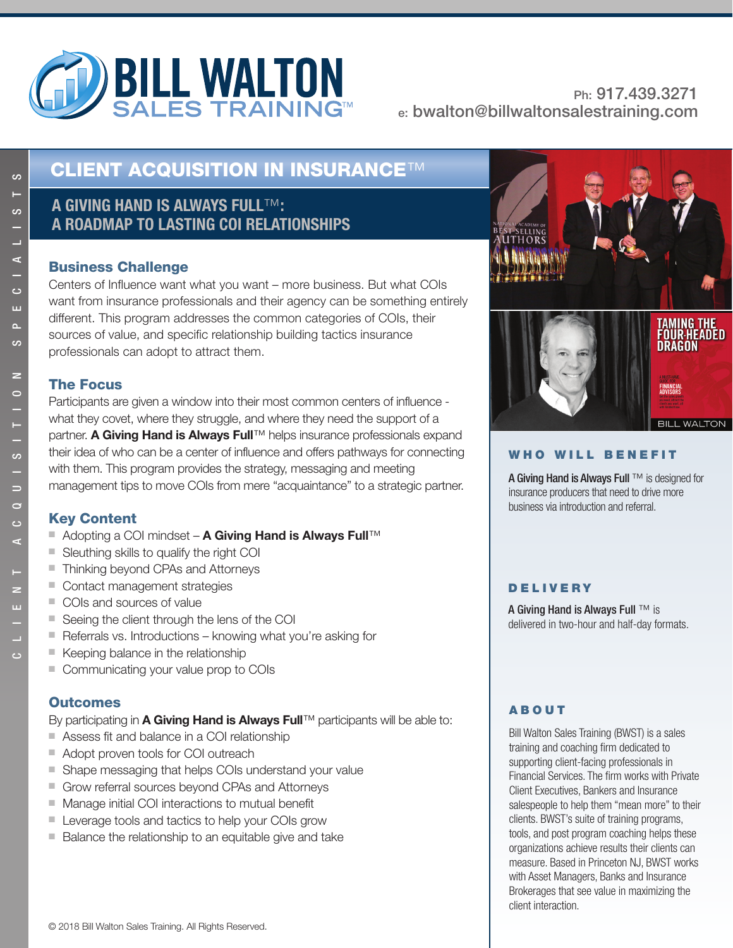

# **CLIENT ACQUISITION IN INSURANCE**™

## **A GIVING HAND IS ALWAYS FULL**™**: A ROADMAP TO LASTING COI RELATIONSHIPS**

#### **Business Challenge**

**Business Challenge** Centers of Influence want what you want – more business. But what COIs want from insurance professionals and their agency can be something entirely different. This program addresses the common categories of COIs, their sources of value, and specific relationship building tactics insurance professionals can adopt to attract them.

### **The Focus**

Participants are given a window into their most common centers of influence what they covet, where they struggle, and where they need the support of a partner. **A Giving Hand is Always Full**™ helps insurance professionals expand their idea of who can be a center of influence and offers pathways for connecting with them. This program provides the strategy, messaging and meeting management tips to move COIs from mere "acquaintance" to a strategic partner.

### **Kev Content**

- Adopting a COI mindset **A Giving Hand is Always Full**™
- Sleuthing skills to qualify the right COI
- Thinking beyond CPAs and Attorneys
- Contact management strategies
- COIs and sources of value
- Seeing the client through the lens of the COI
- Referrals vs. Introductions knowing what you're asking for
- Keeping balance in the relationship
- Communicating your value prop to COIs

### **Outcomes**

**By participating in <b>A Giving Hand is Always Full**™ participants will be able to:

- Assess fit and balance in a COI relationship
- Adopt proven tools for COI outreach
- Shape messaging that helps COIs understand your value
- Grow referral sources beyond CPAs and Attorneys
- Manage initial COI interactions to mutual benefit
- Leverage tools and tactics to help your COIs grow
- Balance the relationship to an equitable give and take



#### **WHO WILL BENEFIT**

A Giving Hand is Always Full ™ is designed for insurance producers that need to drive more business via introduction and referral.

### **DELIVERY**

A Giving Hand is Always Full ™ is delivered in two-hour and half-day formats.

### **ABOUT**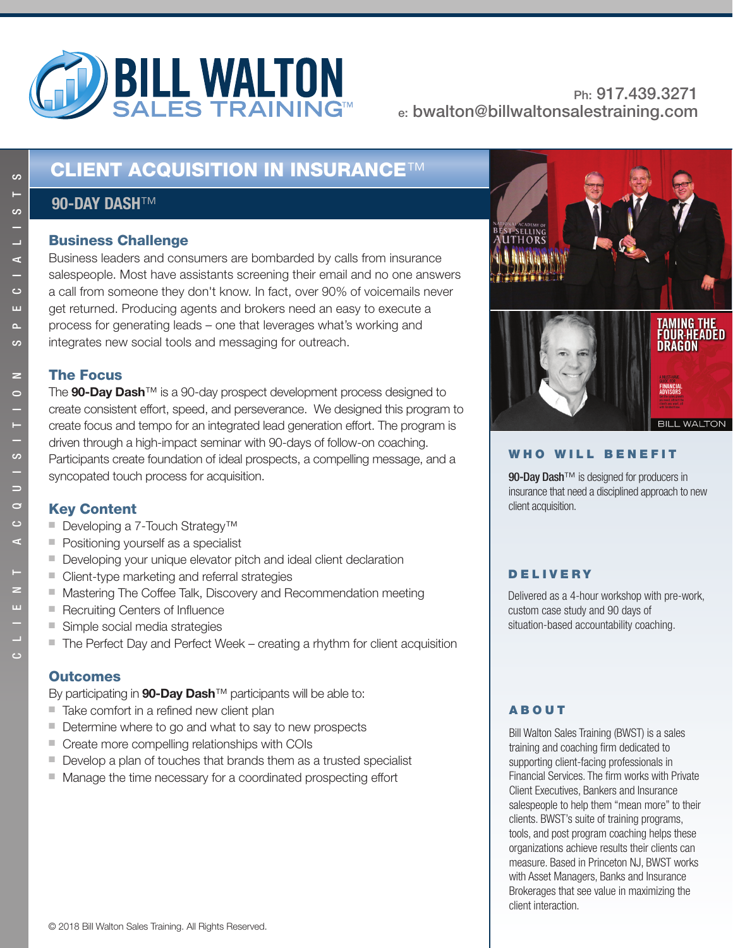

# **CLIENT ACQUISITION IN INSURANCE**™

## **90-DAY DASH**™

Business leaders and consumers are bombarded by calls from insurance salespeople. Most have assistants screening their email and no one answers a call from someone they don't know. In fact, over 90% of voicemails never get returned. Producing agents and brokers need an easy to execute a process for generating leads – one that leverages what's working and integrates new social tools and messaging for outreach.

#### **The Focus**

The 90-Day Dash<sup>™</sup> is a 90-day prospect development process designed to create consistent effort, speed, and perseverance. We designed this program to create focus and tempo for an integrated lead generation effort. The program is driven through a high-impact seminar with 90-days of follow-on coaching. Participants create foundation of ideal prospects, a compelling message, and a syncopated touch process for acquisition.

- Developing a 7-Touch Strategy<sup>™</sup>
- Positioning yourself as a specialist
- Developing your unique elevator pitch and ideal client declaration
- Client-type marketing and referral strategies
- Mastering The Coffee Talk, Discovery and Recommendation meeting
- Recruiting Centers of Influence
- Simple social media strategies
- The Perfect Day and Perfect Week creating a rhythm for client acquisition

#### **Outcomes**

**Outcomes** By participating in **90-Day Dash**™ participants will be able to:

- Take comfort in a refined new client plan
- Determine where to go and what to say to new prospects
- Create more compelling relationships with COIs
- Develop a plan of touches that brands them as a trusted specialist
- Manage the time necessary for a coordinated prospecting effort



#### **WHO WILL BENEFIT**

90-Day Dash<sup>™</sup> is designed for producers in insurance that need a disciplined approach to new client acquisition.

#### **DELIVERY**

Delivered as a 4-hour workshop with pre-work, custom case study and 90 days of situation-based accountability coaching.

#### **ABOUT**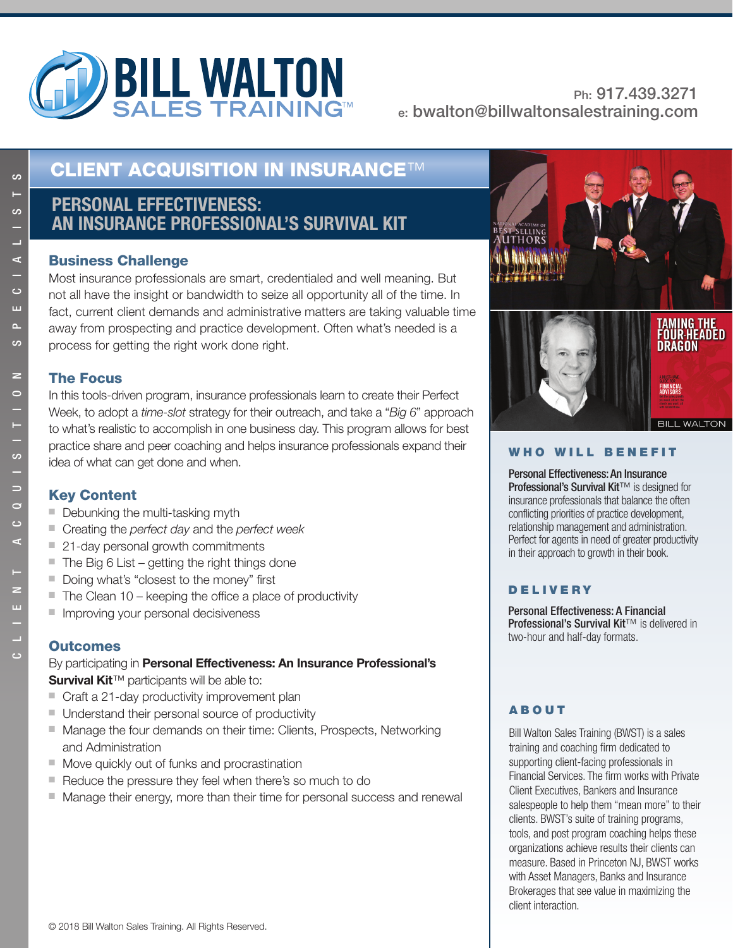

# **CLIENT ACQUISITION IN INSURANCE**™

## **PERSONAL EFFECTIVENESS: AN INSURANCE PROFESSIONAL'S SURVIVAL KIT**

#### **Business Challenge**

Most insurance professionals are smart, credentialed and well meaning. But not all have the insight or bandwidth to seize all opportunity all of the time. In fact, current client demands and administrative matters are taking valuable time away from prospecting and practice development. Often what's needed is a process for getting the right work done right.

#### **The Focus**

**The Focus** In this tools-driven program, insurance professionals learn to create their Perfect Week, to adopt a *time-slot* strategy for their outreach, and take a "*Big 6*" approach to what's realistic to accomplish in one business day. This program allows for best practice share and peer coaching and helps insurance professionals expand their idea of what can get done and when.

- Debunking the multi-tasking myth
- Creating the *perfect day* and the *perfect week*
- 21-day personal growth commitments
- The Big 6 List getting the right things done
- Doing what's "closest to the money" first
- The Clean 10 keeping the office a place of productivity
- Improving your personal decisiveness

#### **Outcomes**

**By participating in Personal Effectiveness: An Insurance Professional's Survival Kit**™ participants will be able to:

- Craft a 21-day productivity improvement plan
- Understand their personal source of productivity
- Manage the four demands on their time: Clients, Prospects, Networking and Administration
- Move quickly out of funks and procrastination
- Reduce the pressure they feel when there's so much to do
- Manage their energy, more than their time for personal success and renewal



#### **WHO WILL BENEFIT**

Personal Effectiveness: An Insurance Professional's Survival Kit™ is designed for insurance professionals that balance the often conflicting priorities of practice development, relationship management and administration. Perfect for agents in need of greater productivity in their approach to growth in their book.

#### **DELIVERY**

Personal Effectiveness: A Financial Professional's Survival Kit<sup>™</sup> is delivered in two-hour and half-day formats.

### **ABOUT**

Bill Walton Sales Training (BWST) is a sales training and coaching firm dedicated to supporting client-facing professionals in Financial Services. The firm works with Private Client Executives, Bankers and Insurance salespeople to help them "mean more" to their clients. BWST's suite of training programs, tools, and post program coaching helps these organizations achieve results their clients can measure. Based in Princeton NJ, BWST works with Asset Managers, Banks and Insurance Brokerages that see value in maximizing the client interaction.

ဖ

ဖ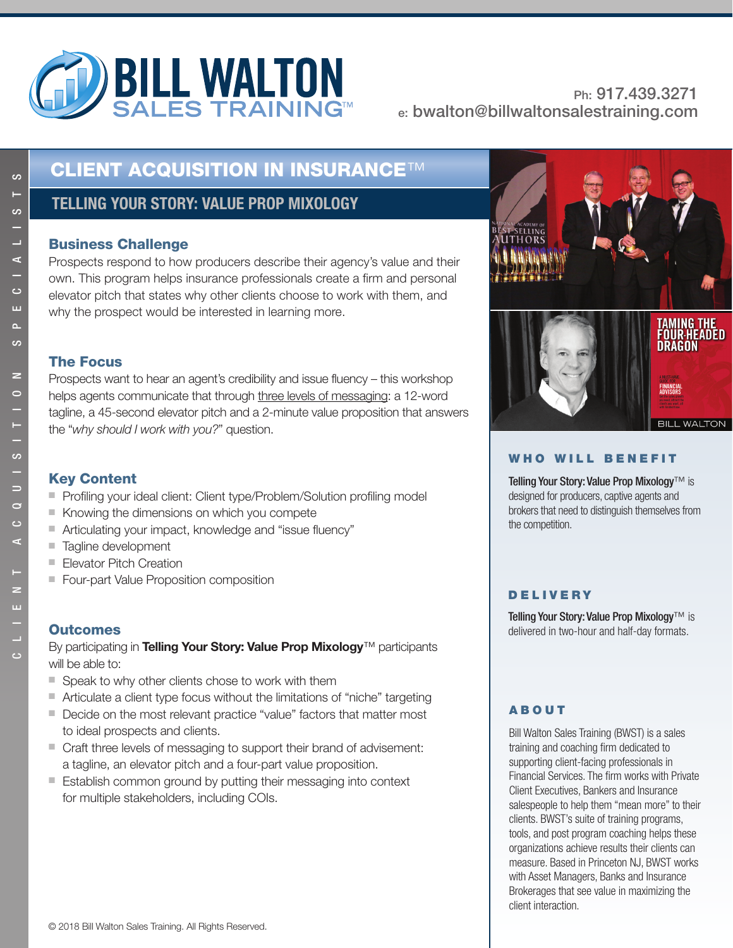

# **CLIENT ACQUISITION IN INSURANCE**™

## **TELLING YOUR STORY: VALUE PROP MIXOLOGY**

Prospects respond to how producers describe their agency's value and their own. This program helps insurance professionals create a firm and personal elevator pitch that states why other clients choose to work with them, and why the prospect would be interested in learning more.

#### **The Focus**

**The Focus** Prospects want to hear an agent's credibility and issue fluency – this workshop helps agents communicate that through three levels of messaging: a 12-word tagline, a 45-second elevator pitch and a 2-minute value proposition that answers the "*why should I work with you?*" question.

- Profiling your ideal client: Client type/Problem/Solution profiling model
- Knowing the dimensions on which you compete
- Articulating your impact, knowledge and "issue fluency"
- Tagline development
- Elevator Pitch Creation
- Four-part Value Proposition composition

### **Outcomes**

**By participating in <b>Telling Your Story: Value Prop Mixology**™ participants will be able to:

- Speak to why other clients chose to work with them
- Articulate a client type focus without the limitations of "niche" targeting
- Decide on the most relevant practice "value" factors that matter most to ideal prospects and clients.
- Craft three levels of messaging to support their brand of advisement: a tagline, an elevator pitch and a four-part value proposition.
- Establish common ground by putting their messaging into context for multiple stakeholders, including COIs.



#### **WHO WILL BENEFIT**

Telling Your Story: Value Prop Mixology™ is designed for producers, captive agents and brokers that need to distinguish themselves from the competition.

#### **DELIVERY**

Telling Your Story: Value Prop Mixology™ is delivered in two-hour and half-day formats.

### **ABOUT**